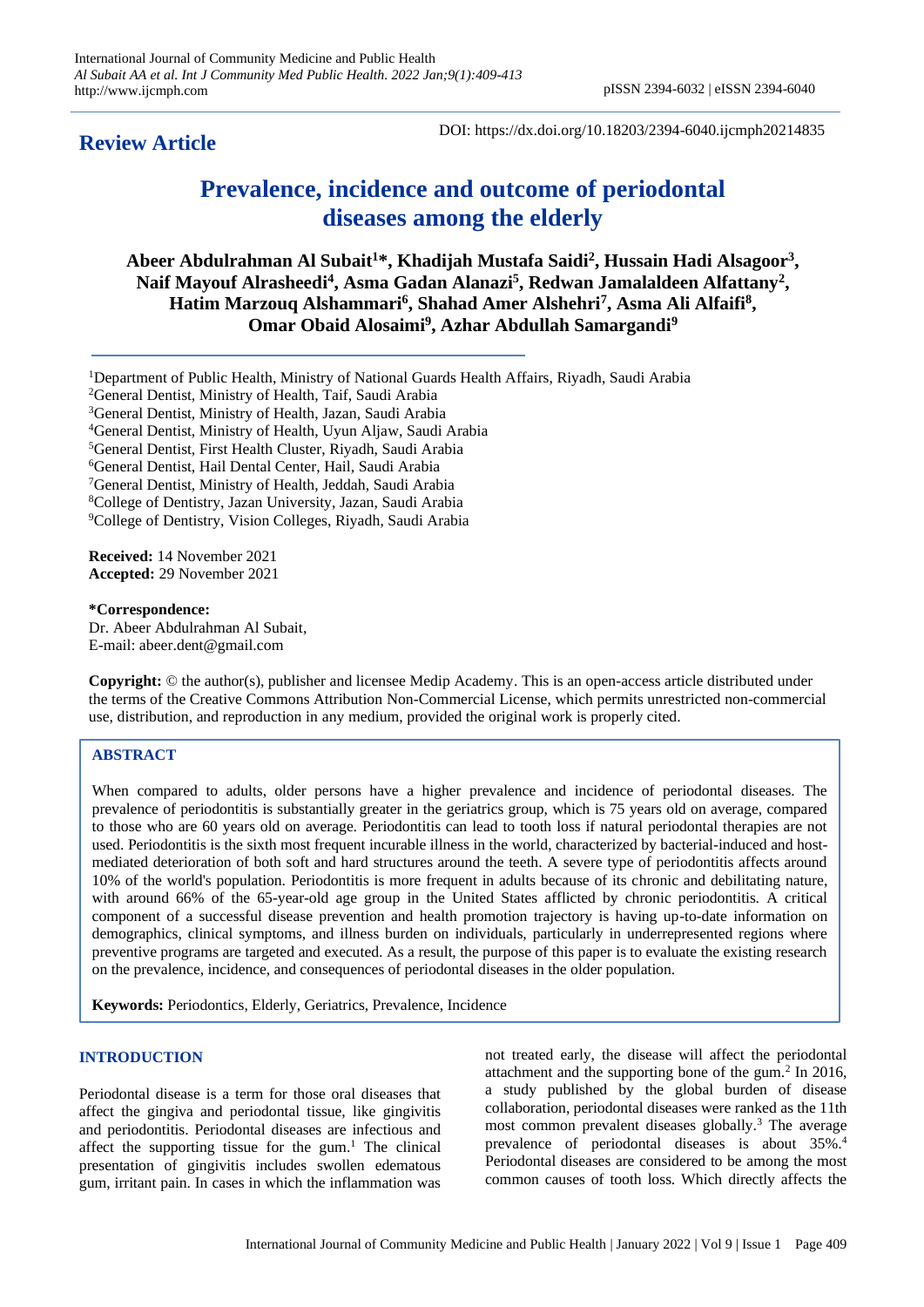**Review Article**

DOI: https://dx.doi.org/10.18203/2394-6040.ijcmph20214835

# **Prevalence, incidence and outcome of periodontal diseases among the elderly**

**Abeer Abdulrahman Al Subait<sup>1</sup>\*, Khadijah Mustafa Saidi<sup>2</sup> , Hussain Hadi Alsagoor<sup>3</sup> ,**  Naif Mayouf Alrasheedi<sup>4</sup>, Asma Gadan Alanazi<sup>5</sup>, Redwan Jamalaldeen Alfattany<sup>2</sup>, **Hatim Marzouq Alshammari<sup>6</sup> , Shahad Amer Alshehri<sup>7</sup> , Asma Ali Alfaifi<sup>8</sup> , Omar Obaid Alosaimi<sup>9</sup> , Azhar Abdullah Samargandi<sup>9</sup>**

- <sup>1</sup>Department of Public Health, Ministry of National Guards Health Affairs, Riyadh, Saudi Arabia
- <sup>2</sup>General Dentist, Ministry of Health, Taif, Saudi Arabia
- <sup>3</sup>General Dentist, Ministry of Health, Jazan, Saudi Arabia
- <sup>4</sup>General Dentist, Ministry of Health, Uyun Aljaw, Saudi Arabia

<sup>5</sup>General Dentist, First Health Cluster, Riyadh, Saudi Arabia

- <sup>6</sup>General Dentist, Hail Dental Center, Hail, Saudi Arabia
- <sup>7</sup>General Dentist, Ministry of Health, Jeddah, Saudi Arabia

<sup>8</sup>College of Dentistry, Jazan University, Jazan, Saudi Arabia

<sup>9</sup>College of Dentistry, Vision Colleges, Riyadh, Saudi Arabia

**Received:** 14 November 2021 **Accepted:** 29 November 2021

# **\*Correspondence:**

Dr. Abeer Abdulrahman Al Subait, E-mail: abeer.dent@gmail.com

**Copyright:** © the author(s), publisher and licensee Medip Academy. This is an open-access article distributed under the terms of the Creative Commons Attribution Non-Commercial License, which permits unrestricted non-commercial use, distribution, and reproduction in any medium, provided the original work is properly cited.

# **ABSTRACT**

When compared to adults, older persons have a higher prevalence and incidence of periodontal diseases. The prevalence of periodontitis is substantially greater in the geriatrics group, which is 75 years old on average, compared to those who are 60 years old on average. Periodontitis can lead to tooth loss if natural periodontal therapies are not used. Periodontitis is the sixth most frequent incurable illness in the world, characterized by bacterial-induced and hostmediated deterioration of both soft and hard structures around the teeth. A severe type of periodontitis affects around 10% of the world's population. Periodontitis is more frequent in adults because of its chronic and debilitating nature, with around 66% of the 65-year-old age group in the United States afflicted by chronic periodontitis. A critical component of a successful disease prevention and health promotion trajectory is having up-to-date information on demographics, clinical symptoms, and illness burden on individuals, particularly in underrepresented regions where preventive programs are targeted and executed. As a result, the purpose of this paper is to evaluate the existing research on the prevalence, incidence, and consequences of periodontal diseases in the older population.

**Keywords:** Periodontics, Elderly, Geriatrics, Prevalence, Incidence

## **INTRODUCTION**

Periodontal disease is a term for those oral diseases that affect the gingiva and periodontal tissue, like gingivitis and periodontitis. Periodontal diseases are infectious and affect the supporting tissue for the gum. $1$  The clinical presentation of gingivitis includes swollen edematous gum, irritant pain. In cases in which the inflammation was

not treated early, the disease will affect the periodontal attachment and the supporting bone of the gum. $2$  In 2016, a study published by the global burden of disease collaboration, periodontal diseases were ranked as the 11th most common prevalent diseases globally.<sup>3</sup> The average prevalence of periodontal diseases is about 35%.<sup>4</sup> Periodontal diseases are considered to be among the most common causes of tooth loss. Which directly affects the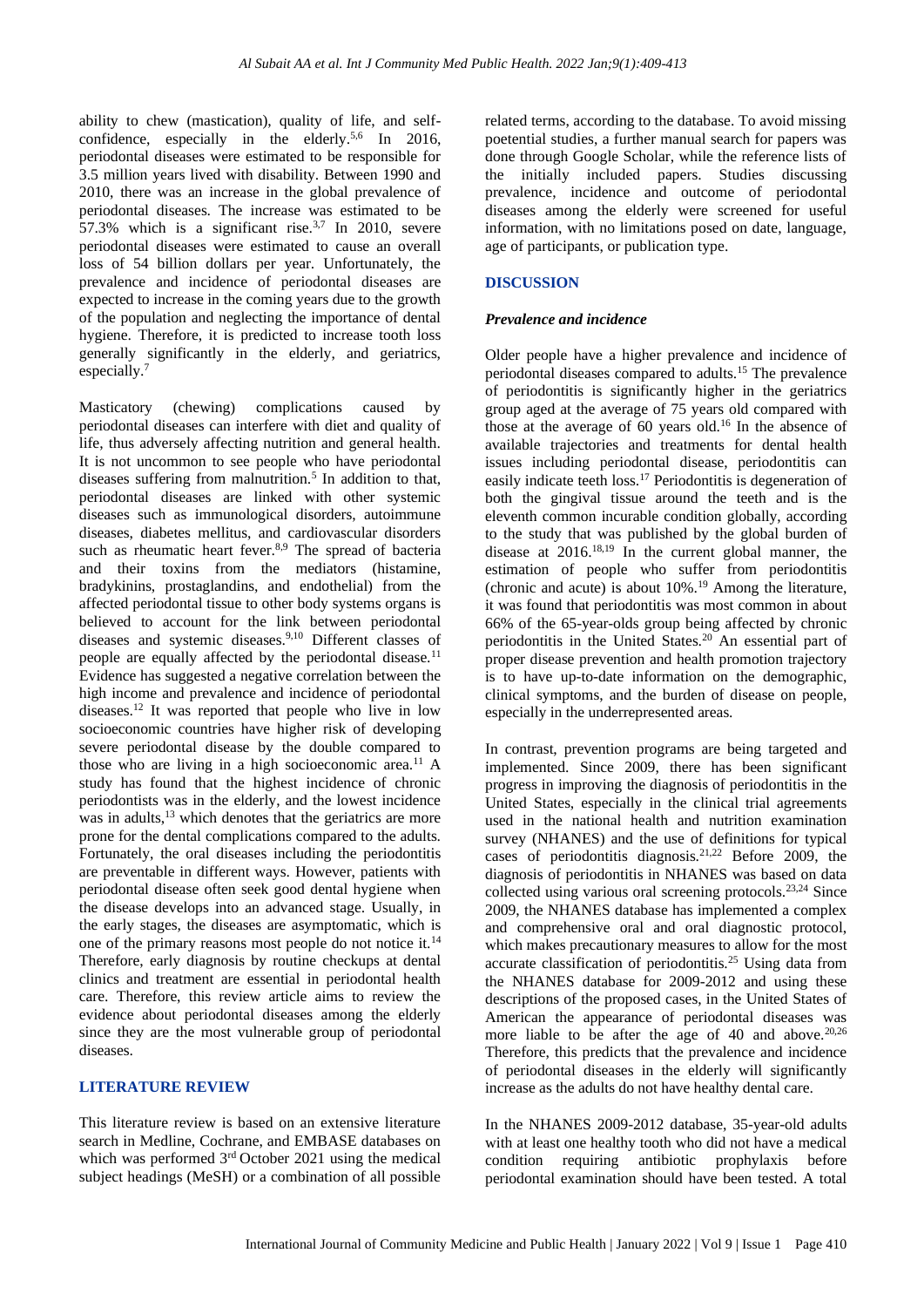ability to chew (mastication), quality of life, and selfconfidence, especially in the elderly.<sup>5,6</sup> In 2016, periodontal diseases were estimated to be responsible for 3.5 million years lived with disability. Between 1990 and 2010, there was an increase in the global prevalence of periodontal diseases. The increase was estimated to be 57.3% which is a significant rise. $3,7$  In 2010, severe periodontal diseases were estimated to cause an overall loss of 54 billion dollars per year. Unfortunately, the prevalence and incidence of periodontal diseases are expected to increase in the coming years due to the growth of the population and neglecting the importance of dental hygiene. Therefore, it is predicted to increase tooth loss generally significantly in the elderly, and geriatrics, especially.<sup>7</sup>

Masticatory (chewing) complications caused by periodontal diseases can interfere with diet and quality of life, thus adversely affecting nutrition and general health. It is not uncommon to see people who have periodontal diseases suffering from malnutrition.<sup>5</sup> In addition to that, periodontal diseases are linked with other systemic diseases such as immunological disorders, autoimmune diseases, diabetes mellitus, and cardiovascular disorders such as rheumatic heart fever.<sup>8,9</sup> The spread of bacteria and their toxins from the mediators (histamine, bradykinins, prostaglandins, and endothelial) from the affected periodontal tissue to other body systems organs is believed to account for the link between periodontal diseases and systemic diseases.9,10 Different classes of people are equally affected by the periodontal disease.<sup>11</sup> Evidence has suggested a negative correlation between the high income and prevalence and incidence of periodontal diseases.<sup>12</sup> It was reported that people who live in low socioeconomic countries have higher risk of developing severe periodontal disease by the double compared to those who are living in a high socioeconomic area.<sup>11</sup> A study has found that the highest incidence of chronic periodontists was in the elderly, and the lowest incidence was in adults,<sup>13</sup> which denotes that the geriatrics are more prone for the dental complications compared to the adults. Fortunately, the oral diseases including the periodontitis are preventable in different ways. However, patients with periodontal disease often seek good dental hygiene when the disease develops into an advanced stage. Usually, in the early stages, the diseases are asymptomatic, which is one of the primary reasons most people do not notice it.<sup>14</sup> Therefore, early diagnosis by routine checkups at dental clinics and treatment are essential in periodontal health care. Therefore, this review article aims to review the evidence about periodontal diseases among the elderly since they are the most vulnerable group of periodontal diseases.

## **LITERATURE REVIEW**

This literature review is based on an extensive literature search in Medline, Cochrane, and EMBASE databases on which was performed 3<sup>rd</sup> October 2021 using the medical subject headings (MeSH) or a combination of all possible

related terms, according to the database. To avoid missing poetential studies, a further manual search for papers was done through Google Scholar, while the reference lists of the initially included papers. Studies discussing prevalence, incidence and outcome of periodontal diseases among the elderly were screened for useful information, with no limitations posed on date, language, age of participants, or publication type.

## **DISCUSSION**

#### *Prevalence and incidence*

Older people have a higher prevalence and incidence of periodontal diseases compared to adults.<sup>15</sup> The prevalence of periodontitis is significantly higher in the geriatrics group aged at the average of 75 years old compared with those at the average of 60 years old.<sup>16</sup> In the absence of available trajectories and treatments for dental health issues including periodontal disease, periodontitis can easily indicate teeth loss.<sup>17</sup> Periodontitis is degeneration of both the gingival tissue around the teeth and is the eleventh common incurable condition globally, according to the study that was published by the global burden of disease at 2016.18,19 In the current global manner, the estimation of people who suffer from periodontitis (chronic and acute) is about  $10\%$ .<sup>19</sup> Among the literature, it was found that periodontitis was most common in about 66% of the 65-year-olds group being affected by chronic periodontitis in the United States.<sup>20</sup> An essential part of proper disease prevention and health promotion trajectory is to have up-to-date information on the demographic, clinical symptoms, and the burden of disease on people, especially in the underrepresented areas.

In contrast, prevention programs are being targeted and implemented. Since 2009, there has been significant progress in improving the diagnosis of periodontitis in the United States, especially in the clinical trial agreements used in the national health and nutrition examination survey (NHANES) and the use of definitions for typical cases of periodontitis diagnosis.21,22 Before 2009, the diagnosis of periodontitis in NHANES was based on data collected using various oral screening protocols.23,24 Since 2009, the NHANES database has implemented a complex and comprehensive oral and oral diagnostic protocol, which makes precautionary measures to allow for the most accurate classification of periodontitis.<sup>25</sup> Using data from the NHANES database for 2009-2012 and using these descriptions of the proposed cases, in the United States of American the appearance of periodontal diseases was more liable to be after the age of 40 and above.<sup>20,26</sup> Therefore, this predicts that the prevalence and incidence of periodontal diseases in the elderly will significantly increase as the adults do not have healthy dental care.

In the NHANES 2009-2012 database, 35-year-old adults with at least one healthy tooth who did not have a medical condition requiring antibiotic prophylaxis before periodontal examination should have been tested. A total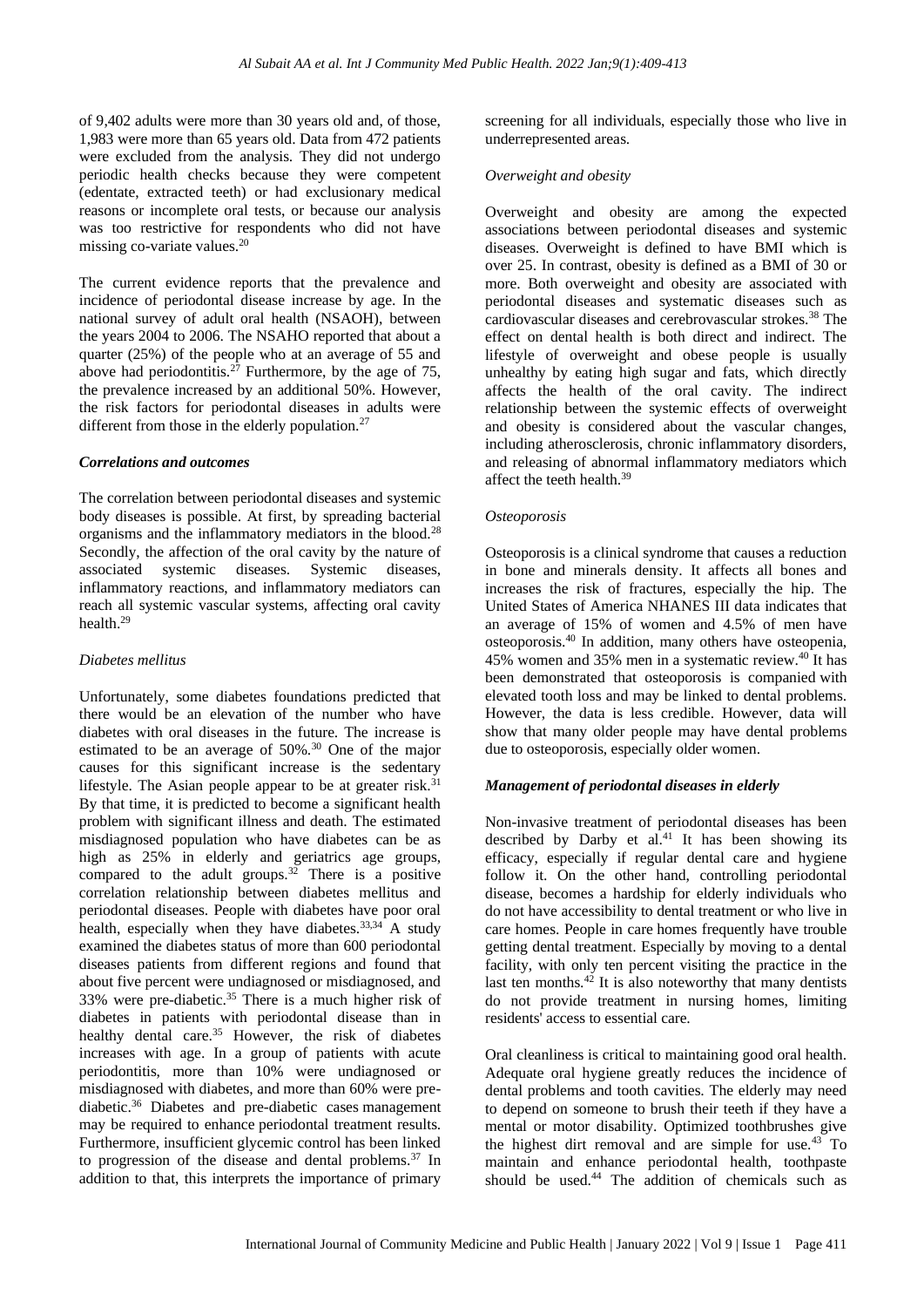of 9,402 adults were more than 30 years old and, of those, 1,983 were more than 65 years old. Data from 472 patients were excluded from the analysis. They did not undergo periodic health checks because they were competent (edentate, extracted teeth) or had exclusionary medical reasons or incomplete oral tests, or because our analysis was too restrictive for respondents who did not have missing co-variate values.<sup>20</sup>

The current evidence reports that the prevalence and incidence of periodontal disease increase by age. In the national survey of adult oral health (NSAOH), between the years 2004 to 2006. The NSAHO reported that about a quarter (25%) of the people who at an average of 55 and above had periodontitis.<sup>27</sup> Furthermore, by the age of 75, the prevalence increased by an additional 50%. However, the risk factors for periodontal diseases in adults were different from those in the elderly population.<sup>27</sup>

#### *Correlations and outcomes*

The correlation between periodontal diseases and systemic body diseases is possible. At first, by spreading bacterial organisms and the inflammatory mediators in the blood.<sup>28</sup> Secondly, the affection of the oral cavity by the nature of associated systemic diseases. Systemic diseases, inflammatory reactions, and inflammatory mediators can reach all systemic vascular systems, affecting oral cavity health<sup>29</sup>

## *Diabetes mellitus*

Unfortunately, some diabetes foundations predicted that there would be an elevation of the number who have diabetes with oral diseases in the future. The increase is estimated to be an average of 50%.<sup>30</sup> One of the major causes for this significant increase is the sedentary lifestyle. The Asian people appear to be at greater risk.<sup>31</sup> By that time, it is predicted to become a significant health problem with significant illness and death. The estimated misdiagnosed population who have diabetes can be as high as 25% in elderly and geriatrics age groups, compared to the adult groups.<sup>32</sup> There is a positive correlation relationship between diabetes mellitus and periodontal diseases. People with diabetes have poor oral health, especially when they have diabetes.<sup>33,34</sup> A study examined the diabetes status of more than 600 periodontal diseases patients from different regions and found that about five percent were undiagnosed or misdiagnosed, and 33% were pre-diabetic.<sup>35</sup> There is a much higher risk of diabetes in patients with periodontal disease than in healthy dental care.<sup>35</sup> However, the risk of diabetes increases with age. In a group of patients with acute periodontitis, more than 10% were undiagnosed or misdiagnosed with diabetes, and more than 60% were prediabetic.<sup>36</sup> Diabetes and pre-diabetic cases management may be required to enhance periodontal treatment results. Furthermore, insufficient glycemic control has been linked to progression of the disease and dental problems.<sup>37</sup> In addition to that, this interprets the importance of primary

screening for all individuals, especially those who live in underrepresented areas.

#### *Overweight and obesity*

Overweight and obesity are among the expected associations between periodontal diseases and systemic diseases. Overweight is defined to have BMI which is over 25. In contrast, obesity is defined as a BMI of 30 or more. Both overweight and obesity are associated with periodontal diseases and systematic diseases such as cardiovascular diseases and cerebrovascular strokes.<sup>38</sup> The effect on dental health is both direct and indirect. The lifestyle of overweight and obese people is usually unhealthy by eating high sugar and fats, which directly affects the health of the oral cavity. The indirect relationship between the systemic effects of overweight and obesity is considered about the vascular changes, including atherosclerosis, chronic inflammatory disorders, and releasing of abnormal inflammatory mediators which affect the teeth health.<sup>39</sup>

#### *Osteoporosis*

Osteoporosis is a clinical syndrome that causes a reduction in bone and minerals density. It affects all bones and increases the risk of fractures, especially the hip. The United States of America NHANES III data indicates that an average of 15% of women and 4.5% of men have osteoporosis.<sup>40</sup> In addition, many others have osteopenia, 45% women and 35% men in a systematic review.<sup>40</sup> It has been demonstrated that osteoporosis is companied with elevated tooth loss and may be linked to dental problems. However, the data is less credible. However, data will show that many older people may have dental problems due to osteoporosis, especially older women.

### *Management of periodontal diseases in elderly*

Non-invasive treatment of periodontal diseases has been described by Darby et al. $41$  It has been showing its efficacy, especially if regular dental care and hygiene follow it. On the other hand, controlling periodontal disease, becomes a hardship for elderly individuals who do not have accessibility to dental treatment or who live in care homes. People in care homes frequently have trouble getting dental treatment. Especially by moving to a dental facility, with only ten percent visiting the practice in the last ten months.<sup>42</sup> It is also noteworthy that many dentists do not provide treatment in nursing homes, limiting residents' access to essential care.

Oral cleanliness is critical to maintaining good oral health. Adequate oral hygiene greatly reduces the incidence of dental problems and tooth cavities. The elderly may need to depend on someone to brush their teeth if they have a mental or motor disability. Optimized toothbrushes give the highest dirt removal and are simple for use.<sup>43</sup> To maintain and enhance periodontal health, toothpaste should be used. $44$  The addition of chemicals such as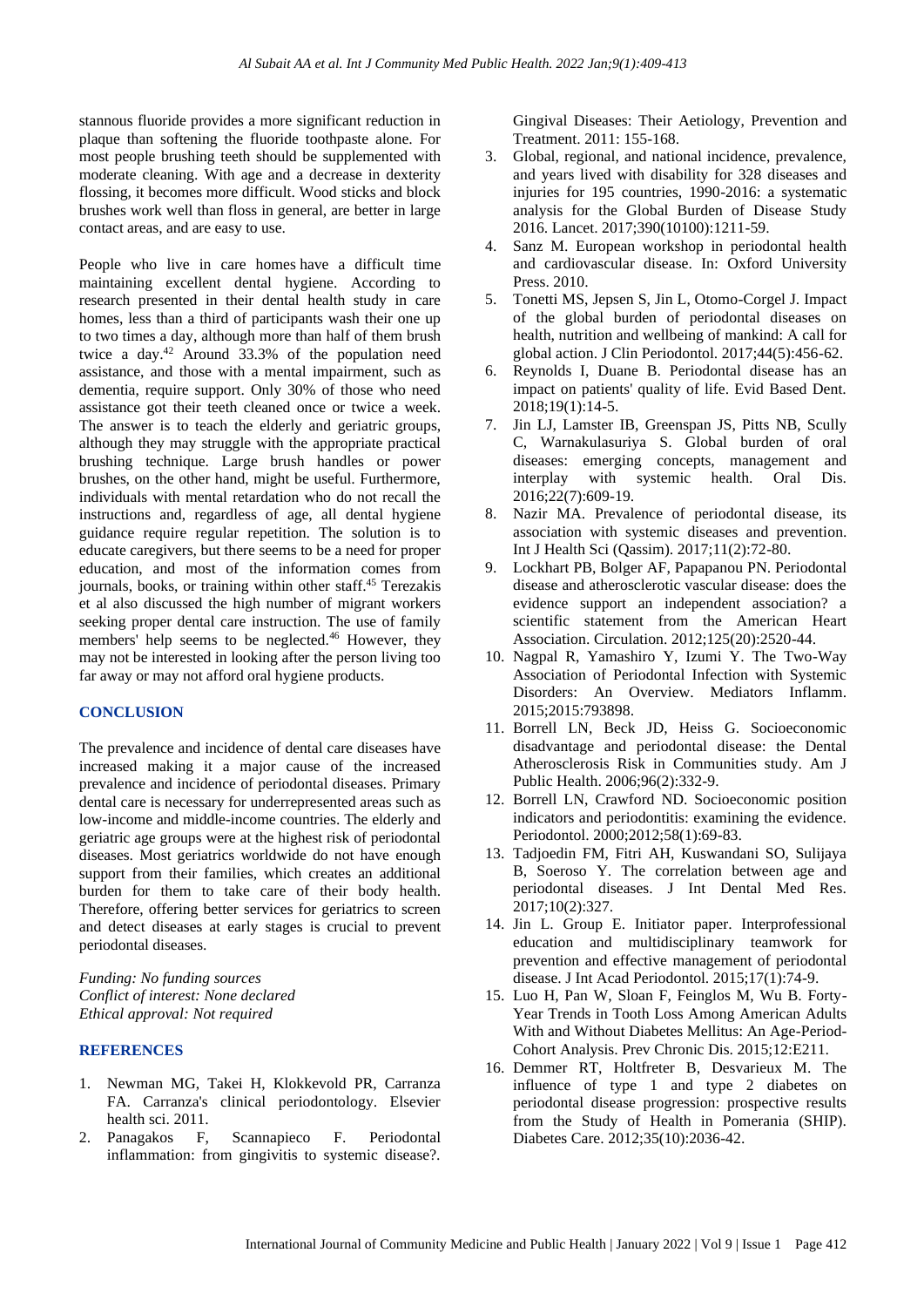stannous fluoride provides a more significant reduction in plaque than softening the fluoride toothpaste alone. For most people brushing teeth should be supplemented with moderate cleaning. With age and a decrease in dexterity flossing, it becomes more difficult. Wood sticks and block brushes work well than floss in general, are better in large contact areas, and are easy to use.

People who live in care homes have a difficult time maintaining excellent dental hygiene. According to research presented in their dental health study in care homes, less than a third of participants wash their one up to two times a day, although more than half of them brush twice a day.<sup>42</sup> Around 33.3% of the population need assistance, and those with a mental impairment, such as dementia, require support. Only 30% of those who need assistance got their teeth cleaned once or twice a week. The answer is to teach the elderly and geriatric groups, although they may struggle with the appropriate practical brushing technique. Large brush handles or power brushes, on the other hand, might be useful. Furthermore, individuals with mental retardation who do not recall the instructions and, regardless of age, all dental hygiene guidance require regular repetition. The solution is to educate caregivers, but there seems to be a need for proper education, and most of the information comes from journals, books, or training within other staff.<sup>45</sup> Terezakis et al also discussed the high number of migrant workers seeking proper dental care instruction. The use of family members' help seems to be neglected.<sup>46</sup> However, they may not be interested in looking after the person living too far away or may not afford oral hygiene products.

## **CONCLUSION**

The prevalence and incidence of dental care diseases have increased making it a major cause of the increased prevalence and incidence of periodontal diseases. Primary dental care is necessary for underrepresented areas such as low-income and middle-income countries. The elderly and geriatric age groups were at the highest risk of periodontal diseases. Most geriatrics worldwide do not have enough support from their families, which creates an additional burden for them to take care of their body health. Therefore, offering better services for geriatrics to screen and detect diseases at early stages is crucial to prevent periodontal diseases.

*Funding: No funding sources Conflict of interest: None declared Ethical approval: Not required*

## **REFERENCES**

- 1. Newman MG, Takei H, Klokkevold PR, Carranza FA. Carranza's clinical periodontology. Elsevier health sci. 2011.
- 2. Panagakos F, Scannapieco F. Periodontal inflammation: from gingivitis to systemic disease?.

Gingival Diseases: Their Aetiology, Prevention and Treatment. 2011: 155-168.

- 3. Global, regional, and national incidence, prevalence, and years lived with disability for 328 diseases and injuries for 195 countries, 1990-2016: a systematic analysis for the Global Burden of Disease Study 2016. Lancet. 2017;390(10100):1211-59.
- 4. Sanz M. European workshop in periodontal health and cardiovascular disease. In: Oxford University Press. 2010.
- 5. Tonetti MS, Jepsen S, Jin L, Otomo-Corgel J. Impact of the global burden of periodontal diseases on health, nutrition and wellbeing of mankind: A call for global action. J Clin Periodontol. 2017;44(5):456-62.
- 6. Reynolds I, Duane B. Periodontal disease has an impact on patients' quality of life. Evid Based Dent. 2018;19(1):14-5.
- 7. Jin LJ, Lamster IB, Greenspan JS, Pitts NB, Scully C, Warnakulasuriya S. Global burden of oral diseases: emerging concepts, management and interplay with systemic health. Oral Dis. 2016;22(7):609-19.
- 8. Nazir MA. Prevalence of periodontal disease, its association with systemic diseases and prevention. Int J Health Sci (Qassim). 2017;11(2):72-80.
- 9. Lockhart PB, Bolger AF, Papapanou PN. Periodontal disease and atherosclerotic vascular disease: does the evidence support an independent association? a scientific statement from the American Heart Association. Circulation. 2012;125(20):2520-44.
- 10. Nagpal R, Yamashiro Y, Izumi Y. The Two-Way Association of Periodontal Infection with Systemic Disorders: An Overview. Mediators Inflamm. 2015;2015:793898.
- 11. Borrell LN, Beck JD, Heiss G. Socioeconomic disadvantage and periodontal disease: the Dental Atherosclerosis Risk in Communities study. Am J Public Health. 2006;96(2):332-9.
- 12. Borrell LN, Crawford ND. Socioeconomic position indicators and periodontitis: examining the evidence. Periodontol. 2000;2012;58(1):69-83.
- 13. Tadjoedin FM, Fitri AH, Kuswandani SO, Sulijaya B, Soeroso Y. The correlation between age and periodontal diseases. J Int Dental Med Res. 2017;10(2):327.
- 14. Jin L. Group E. Initiator paper. Interprofessional education and multidisciplinary teamwork for prevention and effective management of periodontal disease. J Int Acad Periodontol. 2015;17(1):74-9.
- 15. Luo H, Pan W, Sloan F, Feinglos M, Wu B. Forty-Year Trends in Tooth Loss Among American Adults With and Without Diabetes Mellitus: An Age-Period-Cohort Analysis. Prev Chronic Dis. 2015;12:E211.
- 16. Demmer RT, Holtfreter B, Desvarieux M. The influence of type 1 and type 2 diabetes on periodontal disease progression: prospective results from the Study of Health in Pomerania (SHIP). Diabetes Care. 2012;35(10):2036-42.